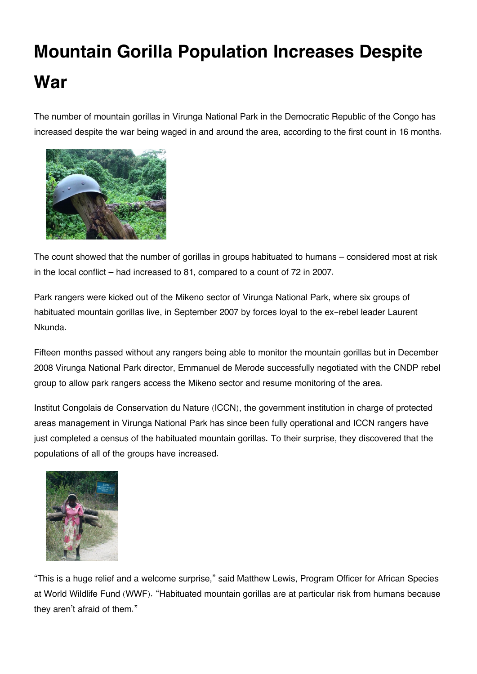## **Mountain Gorilla Population Increases Despite War**

The number of mountain gorillas in Virunga National Park in the Democratic Republic of the Congo has increased despite the war being waged in and around the area, according to the first count in 16 months.



The count showed that the number of gorillas in groups habituated to humans – considered most at risk in the local conflict – had increased to 81, compared to a count of 72 in 2007.

Park rangers were kicked out of the Mikeno sector of Virunga National Park, where six groups of habituated mountain gorillas live, in September 2007 by forces loyal to the ex-rebel leader Laurent Nkunda.

Fifteen months passed without any rangers being able to monitor the mountain gorillas but in December 2008 Virunga National Park director, Emmanuel de Merode successfully negotiated with the CNDP rebel group to allow park rangers access the Mikeno sector and resume monitoring of the area.

Institut Congolais de Conservation du Nature (ICCN), the government institution in charge of protected areas management in Virunga National Park has since been fully operational and ICCN rangers have just completed a census of the habituated mountain gorillas. To their surprise, they discovered that the populations of all of the groups have increased.



"This is a huge relief and a welcome surprise," said Matthew Lewis, Program Officer for African Species at World Wildlife Fund (WWF). "Habituated mountain gorillas are at particular risk from humans because they aren't afraid of them."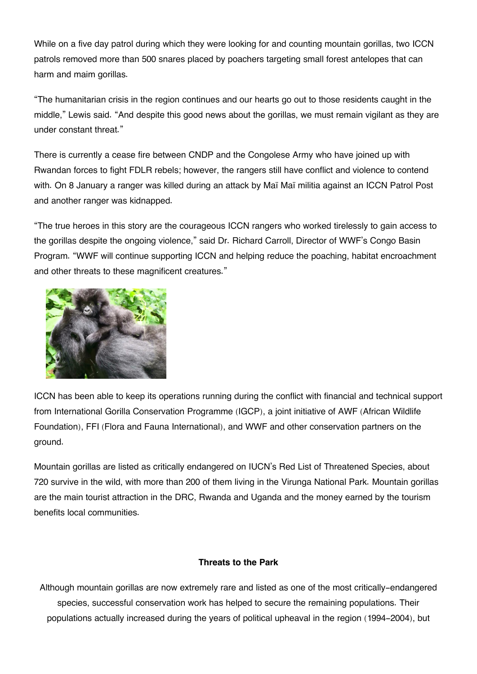While on a five day patrol during which they were looking for and counting mountain gorillas, two ICCN patrols removed more than 500 snares placed by poachers targeting small forest antelopes that can harm and maim gorillas.

"The humanitarian crisis in the region continues and our hearts go out to those residents caught in the middle," Lewis said. "And despite this good news about the gorillas, we must remain vigilant as they are under constant threat."

There is currently a cease fire between CNDP and the Congolese Army who have joined up with Rwandan forces to fight FDLR rebels; however, the rangers still have conflict and violence to contend with. On 8 January a ranger was killed during an attack by Maï Maï militia against an ICCN Patrol Post and another ranger was kidnapped.

"The true heroes in this story are the courageous ICCN rangers who worked tirelessly to gain access to the gorillas despite the ongoing violence," said Dr. Richard Carroll, Director of WWF's Congo Basin Program. "WWF will continue supporting ICCN and helping reduce the poaching, habitat encroachment and other threats to these magnificent creatures."



ICCN has been able to keep its operations running during the conflict with financial and technical support from International Gorilla Conservation Programme (IGCP), a joint initiative of AWF (African Wildlife Foundation), FFI (Flora and Fauna International), and WWF and other conservation partners on the ground.

Mountain gorillas are listed as critically endangered on IUCN's Red List of Threatened Species, about 720 survive in the wild, with more than 200 of them living in the Virunga National Park. Mountain gorillas are the main tourist attraction in the DRC, Rwanda and Uganda and the money earned by the tourism benefits local communities.

## **Threats to the Park**

Although mountain gorillas are now extremely rare and listed as one of the most critically-endangered species, successful conservation work has helped to secure the remaining populations. Their populations actually increased during the years of political upheaval in the region (1994-2004), but